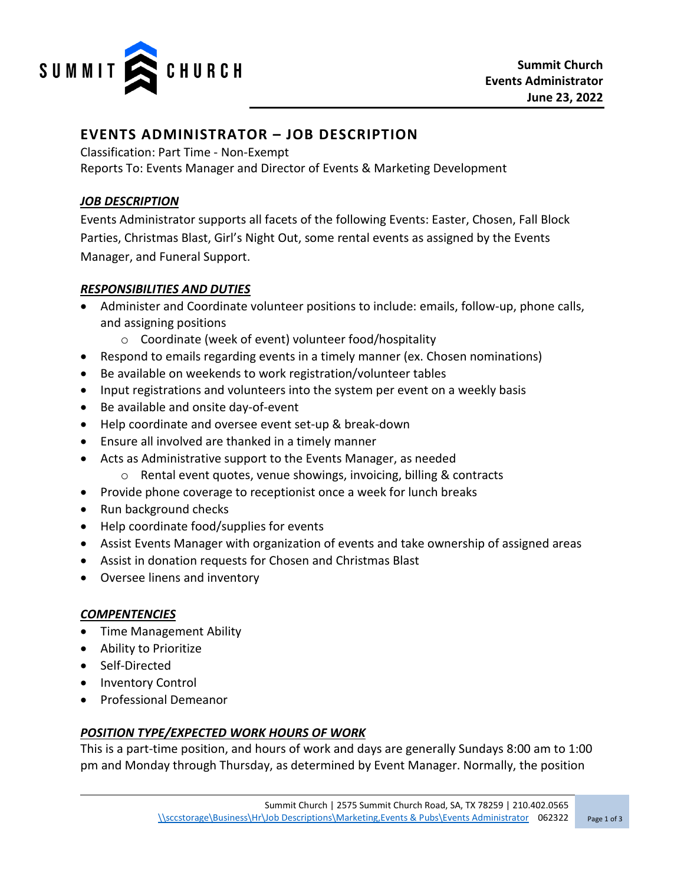

# **EVENTS ADMINISTRATOR – JOB DESCRIPTION**

Classification: Part Time - Non-Exempt

Reports To: Events Manager and Director of Events & Marketing Development

#### *JOB DESCRIPTION*

Events Administrator supports all facets of the following Events: Easter, Chosen, Fall Block Parties, Christmas Blast, Girl's Night Out, some rental events as assigned by the Events Manager, and Funeral Support.

## *RESPONSIBILITIES AND DUTIES*

- Administer and Coordinate volunteer positions to include: emails, follow-up, phone calls, and assigning positions
	- o Coordinate (week of event) volunteer food/hospitality
- Respond to emails regarding events in a timely manner (ex. Chosen nominations)
- Be available on weekends to work registration/volunteer tables
- Input registrations and volunteers into the system per event on a weekly basis
- Be available and onsite day-of-event
- Help coordinate and oversee event set-up & break-down
- Ensure all involved are thanked in a timely manner
- Acts as Administrative support to the Events Manager, as needed
	- o Rental event quotes, venue showings, invoicing, billing & contracts
- Provide phone coverage to receptionist once a week for lunch breaks
- Run background checks
- Help coordinate food/supplies for events
- Assist Events Manager with organization of events and take ownership of assigned areas
- Assist in donation requests for Chosen and Christmas Blast
- Oversee linens and inventory

# *COMPENTENCIES*

- Time Management Ability
- Ability to Prioritize
- Self-Directed
- Inventory Control
- Professional Demeanor

# *POSITION TYPE/EXPECTED WORK HOURS OF WORK*

This is a part-time position, and hours of work and days are generally Sundays 8:00 am to 1:00 pm and Monday through Thursday, as determined by Event Manager. Normally, the position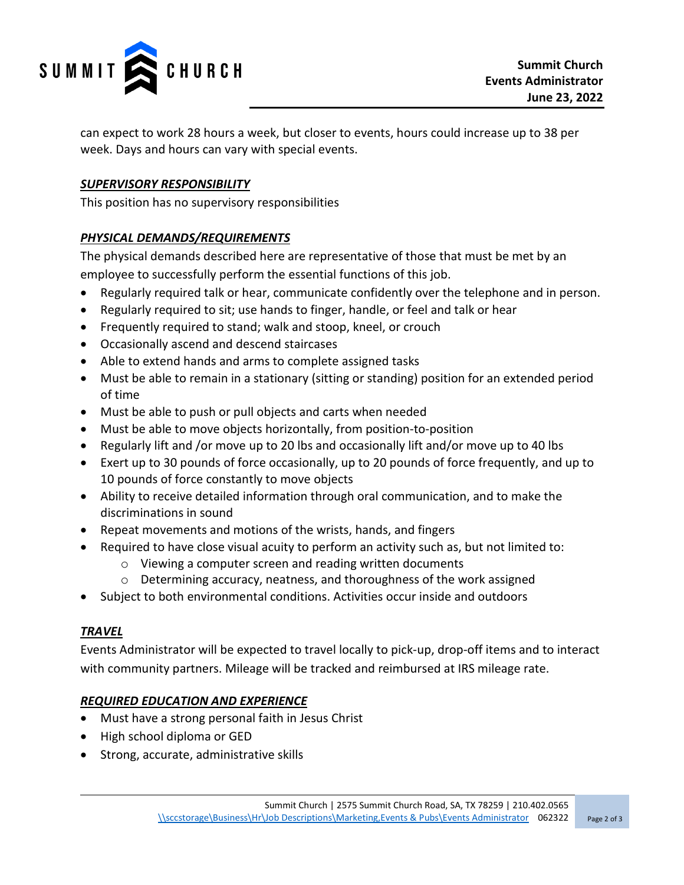

can expect to work 28 hours a week, but closer to events, hours could increase up to 38 per week. Days and hours can vary with special events.

## *SUPERVISORY RESPONSIBILITY*

This position has no supervisory responsibilities

#### *PHYSICAL DEMANDS/REQUIREMENTS*

The physical demands described here are representative of those that must be met by an employee to successfully perform the essential functions of this job.

- Regularly required talk or hear, communicate confidently over the telephone and in person.
- Regularly required to sit; use hands to finger, handle, or feel and talk or hear
- Frequently required to stand; walk and stoop, kneel, or crouch
- Occasionally ascend and descend staircases
- Able to extend hands and arms to complete assigned tasks
- Must be able to remain in a stationary (sitting or standing) position for an extended period of time
- Must be able to push or pull objects and carts when needed
- Must be able to move objects horizontally, from position-to-position
- Regularly lift and /or move up to 20 lbs and occasionally lift and/or move up to 40 lbs
- Exert up to 30 pounds of force occasionally, up to 20 pounds of force frequently, and up to 10 pounds of force constantly to move objects
- Ability to receive detailed information through oral communication, and to make the discriminations in sound
- Repeat movements and motions of the wrists, hands, and fingers
- Required to have close visual acuity to perform an activity such as, but not limited to:
	- o Viewing a computer screen and reading written documents
	- o Determining accuracy, neatness, and thoroughness of the work assigned
- Subject to both environmental conditions. Activities occur inside and outdoors

#### *TRAVEL*

Events Administrator will be expected to travel locally to pick-up, drop-off items and to interact with community partners. Mileage will be tracked and reimbursed at IRS mileage rate.

#### *REQUIRED EDUCATION AND EXPERIENCE*

- Must have a strong personal faith in Jesus Christ
- High school diploma or GED
- Strong, accurate, administrative skills